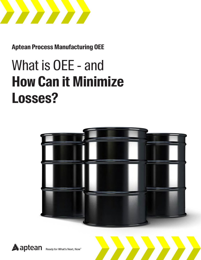

**Aptean Process Manufacturing OEE** 

# What is OEE - and **How Can it Minimize Losses?**



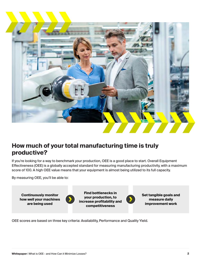

### **How much of your total manufacturing time is truly productive?**

If you're looking for a way to benchmark your production, OEE is a good place to start. Overall Equipment Effectiveness (OEE) is a globally accepted standard for measuring manufacturing productivity, with a maximum score of 100. A high OEE value means that your equipment is almost being utilized to its full capacity.

By measuring OEE, you'll be able to:

**Continuously monitor how well your machines are being used** 



**Find bottlenecks in your production, to increase profitability and competitiveness**



**Set tangible goals and measure daily improvement work**

OEE scores are based on three key criteria: Availability, Performance and Quality Yield.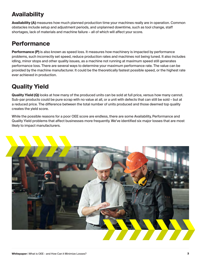## **Availability**

**Availability (A)** measures how much planned production time your machines really are in operation. Common obstacles include setup and adjustment periods, and unplanned downtime, such as tool change, staff shortages, lack of materials and machine failure – all of which will affect your score.

## **Performance**

**Performance (P)** is also known as speed loss. It measures how machinery is impacted by performance problems, such incorrectly set speed, reduce production rates and machines not being tuned. It also includes idling, minor stops and other quality issues, as a machine not running at maximum speed still generates performance loss. There are several ways to determine your maximum performance rate. The value can be provided by the machine manufacturer. It could be the theoretically fastest possible speed, or the highest rate ever achieved in production.

## **Quality Yield**

**Quality Yield (Q)** looks at how many of the produced units can be sold at full price, versus how many cannot. Sub-par products could be pure scrap with no value at all, or a unit with defects that can still be sold – but at a reduced price. The difference between the total number of units produced and those deemed top quality creates the yield score.

While the possible reasons for a poor OEE score are endless, there are some Availability, Performance and Quality Yield problems that affect businesses more frequently. We've identified six major losses that are most likely to impact manufacturers.

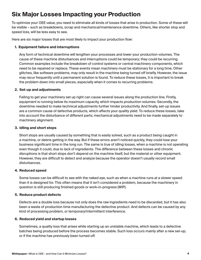## **Six Major Losses Impacting your Production**

To optimize your OEE value, you need to eliminate all kinds of losses that arise in production. Some of these will be visible – such as breakdowns, scrap and mechanical/maintenance downtime. Others, like shorter stop and speed loss, will be less easy to see.

Here are six major losses that are most likely to impact your production flow:

#### **1. Equipment failure and interruptions**

Any form of technical downtime will lengthen your processes and lower your production volumes. The cause of these machine disturbances and interruptions could be temporary; they could be recurring. Common examples include the breakdown of control systems or central machinery components, which need to be repaired or replace. These events mean machinery must be stationary for a long time. Other glitches, like software problems, may only result in the machine being turned off briefly. However, the issue may recur frequently until a permanent solution is found. To reduce these losses, it is important to break the problem down into small pieces, especially when it comes to recurring problems.

#### **2. Set-up and adjustments**

Failing to get your machinery set up right can cause several issues along the production line. Firstly, equipment is running below its maximum capacity, which impacts production volumes. Secondly, the downtime needed to make technical adjustments further hinder productivity. And finally, set-up issues are a common cause of defective products, which affects your quality yield. To reduce these losses, take into account the disturbance of different parts; mechanical adjustments need to be made separately to machinery alignment.

#### **3. Idling and short stops**

Short stops are usually caused by something that is easily solved, such as a product being caught in a machine, or debris getting in the way. But if these errors aren't noticed quickly, they could lose your business significant time in the long run. The same is true of idling losses, when a machine is not operating even though it could, due to lack of ingredients. The difference between these losses and chronic disruptions is that short stops don't depend on the machine itself, but the material or other equipment. However, they are difficult to detect and analyze because the operator doesn't usually record small disturbances.

### **4. Reduced speed**

Some losses can be difficult to see with the naked eye, such as when a machine runs at a slower speed than it is designed for. This often means that it isn't considered a problem, because the machinery in question is still producing finished goods or work-in-progress (WIP).

### **5. Reduce product defects**

Defects are a double loss because not only does the raw ingredients need to be discarded, but it has also been a waste of production time manufacturing the defective product. And defects can be caused by any kind of processing problem, or temporary/intermittent interference.

#### **6. Reduced yield and startup losses**

Sometimes, a quality loss that arises while starting up an unstable machine, which leads to a defective batches being produced before the process becomes stable. Such loss occurs mainly after a new set-up, or if the machine has previously been turned off.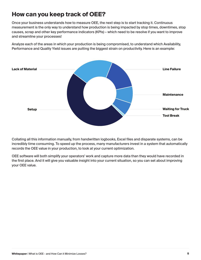## **How can you keep track of OEE?**

Once your business understands how to measure OEE, the next step is to start tracking it. Continuous measurement is the only way to understand how production is being impacted by stop times, downtimes, stop causes, scrap and other key performance indicators (KPIs) – which need to be resolve if you want to improve and streamline your processes!

Analyze each of the areas in which your production is being compromised, to understand which Availability, Performance and Quality Yield issues are putting the biggest strain on productivity. Here is an example:



Collating all this information manually, from handwritten logbooks, Excel files and disparate systems, can be incredibly time consuming. To speed up the process, many manufacturers invest in a system that automatically records the OEE value in your production, to look at your current optimization.

OEE software will both simplify your operators' work and capture more data than they would have recorded in the first place. And it will give you valuable insight into your current situation, so you can set about improving your OEE value.